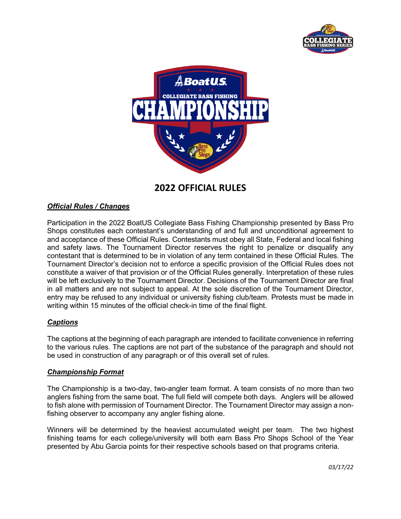



# **2022 OFFICIAL RULES**

# *Official Rules / Changes*

Participation in the 2022 BoatUS Collegiate Bass Fishing Championship presented by Bass Pro Shops constitutes each contestant's understanding of and full and unconditional agreement to and acceptance of these Official Rules. Contestants must obey all State, Federal and local fishing and safety laws. The Tournament Director reserves the right to penalize or disqualify any contestant that is determined to be in violation of any term contained in these Official Rules. The Tournament Director's decision not to enforce a specific provision of the Official Rules does not constitute a waiver of that provision or of the Official Rules generally. Interpretation of these rules will be left exclusively to the Tournament Director. Decisions of the Tournament Director are final in all matters and are not subject to appeal. At the sole discretion of the Tournament Director, entry may be refused to any individual or university fishing club/team. Protests must be made in writing within 15 minutes of the official check-in time of the final flight.

# *Captions*

The captions at the beginning of each paragraph are intended to facilitate convenience in referring to the various rules. The captions are not part of the substance of the paragraph and should not be used in construction of any paragraph or of this overall set of rules.

#### *Championship Format*

The Championship is a two-day, two-angler team format. A team consists of no more than two anglers fishing from the same boat. The full field will compete both days. Anglers will be allowed to fish alone with permission of Tournament Director. The Tournament Director may assign a nonfishing observer to accompany any angler fishing alone.

Winners will be determined by the heaviest accumulated weight per team. The two highest finishing teams for each college/university will both earn Bass Pro Shops School of the Year presented by Abu Garcia points for their respective schools based on that programs criteria.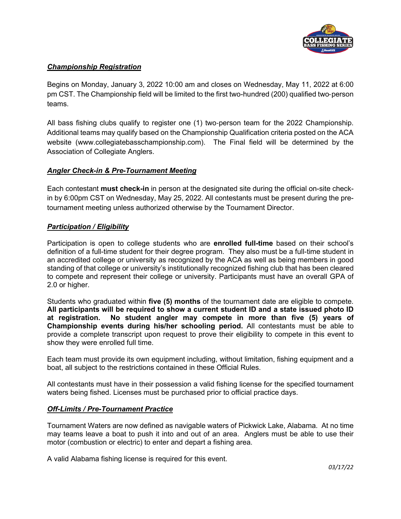

# *Championship Registration*

Begins on Monday, January 3, 2022 10:00 am and closes on Wednesday, May 11, 2022 at 6:00 pm CST. The Championship field will be limited to the first two-hundred (200) qualified two‐person teams.

All bass fishing clubs qualify to register one (1) two-person team for the 2022 Championship. Additional teams may qualify based on the Championship Qualification criteria posted on the ACA website (www.collegiatebasschampionship.com). The Final field will be determined by the Association of Collegiate Anglers.

# *Angler Check-in & Pre-Tournament Meeting*

Each contestant **must check-in** in person at the designated site during the official on-site checkin by 6:00pm CST on Wednesday, May 25, 2022. All contestants must be present during the pretournament meeting unless authorized otherwise by the Tournament Director.

# *Participation / Eligibility*

Participation is open to college students who are **enrolled full-time** based on their school's definition of a full-time student for their degree program. They also must be a full-time student in an accredited college or university as recognized by the ACA as well as being members in good standing of that college or university's institutionally recognized fishing club that has been cleared to compete and represent their college or university. Participants must have an overall GPA of 2.0 or higher.

Students who graduated within **five (5) months** of the tournament date are eligible to compete. **All participants will be required to show a current student ID and a state issued photo ID at registration. No student angler may compete in more than five (5) years of Championship events during his/her schooling period.** All contestants must be able to provide a complete transcript upon request to prove their eligibility to compete in this event to show they were enrolled full time.

Each team must provide its own equipment including, without limitation, fishing equipment and a boat, all subject to the restrictions contained in these Official Rules.

All contestants must have in their possession a valid fishing license for the specified tournament waters being fished. Licenses must be purchased prior to official practice days.

# *Off-Limits / Pre-Tournament Practice*

Tournament Waters are now defined as navigable waters of Pickwick Lake, Alabama. At no time may teams leave a boat to push it into and out of an area. Anglers must be able to use their motor (combustion or electric) to enter and depart a fishing area.

A valid Alabama fishing license is required for this event.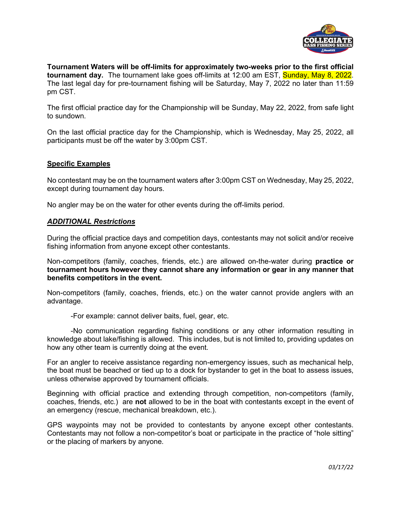

**Tournament Waters will be off-limits for approximately two-weeks prior to the first official tournament day.** The tournament lake goes off-limits at 12:00 am EST, Sunday, May 8, 2022. The last legal day for pre-tournament fishing will be Saturday, May 7, 2022 no later than 11:59 pm CST.

The first official practice day for the Championship will be Sunday, May 22, 2022, from safe light to sundown.

On the last official practice day for the Championship, which is Wednesday, May 25, 2022, all participants must be off the water by 3:00pm CST.

# **Specific Examples**

No contestant may be on the tournament waters after 3:00pm CST on Wednesday, May 25, 2022, except during tournament day hours.

No angler may be on the water for other events during the off-limits period.

#### *ADDITIONAL Restrictions*

During the official practice days and competition days, contestants may not solicit and/or receive fishing information from anyone except other contestants.

Non-competitors (family, coaches, friends, etc.) are allowed on-the-water during **practice or tournament hours however they cannot share any information or gear in any manner that benefits competitors in the event.** 

Non-competitors (family, coaches, friends, etc.) on the water cannot provide anglers with an advantage.

-For example: cannot deliver baits, fuel, gear, etc.

 -No communication regarding fishing conditions or any other information resulting in knowledge about lake/fishing is allowed. This includes, but is not limited to, providing updates on how any other team is currently doing at the event.

For an angler to receive assistance regarding non-emergency issues, such as mechanical help, the boat must be beached or tied up to a dock for bystander to get in the boat to assess issues, unless otherwise approved by tournament officials.

Beginning with official practice and extending through competition, non-competitors (family, coaches, friends, etc.) are **not** allowed to be in the boat with contestants except in the event of an emergency (rescue, mechanical breakdown, etc.).

GPS waypoints may not be provided to contestants by anyone except other contestants. Contestants may not follow a non-competitor's boat or participate in the practice of "hole sitting" or the placing of markers by anyone.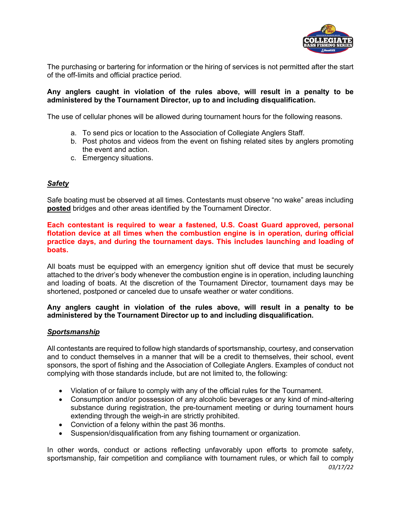

The purchasing or bartering for information or the hiring of services is not permitted after the start of the off-limits and official practice period.

#### **Any anglers caught in violation of the rules above, will result in a penalty to be administered by the Tournament Director, up to and including disqualification.**

The use of cellular phones will be allowed during tournament hours for the following reasons.

- a. To send pics or location to the Association of Collegiate Anglers Staff.
- b. Post photos and videos from the event on fishing related sites by anglers promoting the event and action.
- c. Emergency situations.

# *Safety*

Safe boating must be observed at all times. Contestants must observe "no wake" areas including **posted** bridges and other areas identified by the Tournament Director.

# **Each contestant is required to wear a fastened, U.S. Coast Guard approved, personal flotation device at all times when the combustion engine is in operation, during official practice days, and during the tournament days. This includes launching and loading of boats.**

All boats must be equipped with an emergency ignition shut off device that must be securely attached to the driver's body whenever the combustion engine is in operation, including launching and loading of boats. At the discretion of the Tournament Director, tournament days may be shortened, postponed or canceled due to unsafe weather or water conditions.

# **Any anglers caught in violation of the rules above, will result in a penalty to be administered by the Tournament Director up to and including disqualification.**

#### *Sportsmanship*

All contestants are required to follow high standards of sportsmanship, courtesy, and conservation and to conduct themselves in a manner that will be a credit to themselves, their school, event sponsors, the sport of fishing and the Association of Collegiate Anglers. Examples of conduct not complying with those standards include, but are not limited to, the following:

- Violation of or failure to comply with any of the official rules for the Tournament.
- Consumption and/or possession of any alcoholic beverages or any kind of mind-altering substance during registration, the pre-tournament meeting or during tournament hours extending through the weigh-in are strictly prohibited.
- Conviction of a felony within the past 36 months.
- Suspension/disqualification from any fishing tournament or organization.

*03/17/22*  In other words, conduct or actions reflecting unfavorably upon efforts to promote safety, sportsmanship, fair competition and compliance with tournament rules, or which fail to comply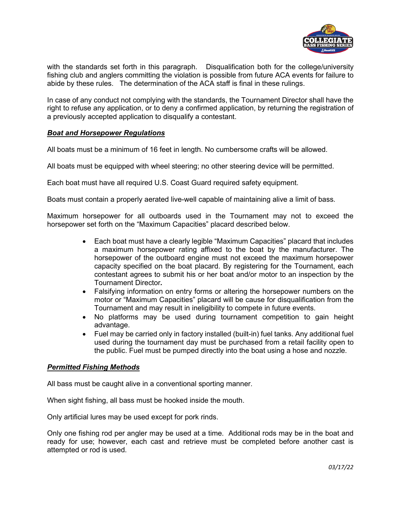

with the standards set forth in this paragraph. Disqualification both for the college/university fishing club and anglers committing the violation is possible from future ACA events for failure to abide by these rules. The determination of the ACA staff is final in these rulings.

In case of any conduct not complying with the standards, the Tournament Director shall have the right to refuse any application, or to deny a confirmed application, by returning the registration of a previously accepted application to disqualify a contestant.

# *Boat and Horsepower Regulations*

All boats must be a minimum of 16 feet in length. No cumbersome crafts will be allowed.

All boats must be equipped with wheel steering; no other steering device will be permitted.

Each boat must have all required U.S. Coast Guard required safety equipment.

Boats must contain a properly aerated live-well capable of maintaining alive a limit of bass.

Maximum horsepower for all outboards used in the Tournament may not to exceed the horsepower set forth on the "Maximum Capacities" placard described below.

- Each boat must have a clearly legible "Maximum Capacities" placard that includes a maximum horsepower rating affixed to the boat by the manufacturer. The horsepower of the outboard engine must not exceed the maximum horsepower capacity specified on the boat placard. By registering for the Tournament, each contestant agrees to submit his or her boat and/or motor to an inspection by the Tournament Director*.*
- Falsifying information on entry forms or altering the horsepower numbers on the motor or "Maximum Capacities" placard will be cause for disqualification from the Tournament and may result in ineligibility to compete in future events.
- No platforms may be used during tournament competition to gain height advantage.
- Fuel may be carried only in factory installed (built-in) fuel tanks. Any additional fuel used during the tournament day must be purchased from a retail facility open to the public. Fuel must be pumped directly into the boat using a hose and nozzle.

# *Permitted Fishing Methods*

All bass must be caught alive in a conventional sporting manner.

When sight fishing, all bass must be hooked inside the mouth.

Only artificial lures may be used except for pork rinds.

Only one fishing rod per angler may be used at a time. Additional rods may be in the boat and ready for use; however, each cast and retrieve must be completed before another cast is attempted or rod is used.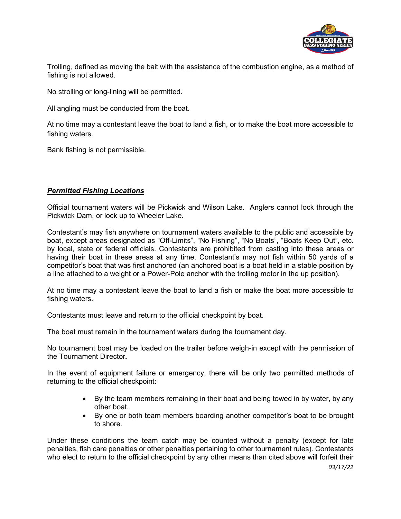

Trolling, defined as moving the bait with the assistance of the combustion engine, as a method of fishing is not allowed.

No strolling or long-lining will be permitted.

All angling must be conducted from the boat.

At no time may a contestant leave the boat to land a fish, or to make the boat more accessible to fishing waters.

Bank fishing is not permissible.

# *Permitted Fishing Locations*

Official tournament waters will be Pickwick and Wilson Lake. Anglers cannot lock through the Pickwick Dam, or lock up to Wheeler Lake.

Contestant's may fish anywhere on tournament waters available to the public and accessible by boat, except areas designated as "Off-Limits", "No Fishing", "No Boats", "Boats Keep Out", etc. by local, state or federal officials. Contestants are prohibited from casting into these areas or having their boat in these areas at any time. Contestant's may not fish within 50 yards of a competitor's boat that was first anchored (an anchored boat is a boat held in a stable position by a line attached to a weight or a Power-Pole anchor with the trolling motor in the up position).

At no time may a contestant leave the boat to land a fish or make the boat more accessible to fishing waters.

Contestants must leave and return to the official checkpoint by boat.

The boat must remain in the tournament waters during the tournament day.

No tournament boat may be loaded on the trailer before weigh-in except with the permission of the Tournament Director*.* 

In the event of equipment failure or emergency, there will be only two permitted methods of returning to the official checkpoint:

- By the team members remaining in their boat and being towed in by water, by any other boat.
- By one or both team members boarding another competitor's boat to be brought to shore.

Under these conditions the team catch may be counted without a penalty (except for late penalties, fish care penalties or other penalties pertaining to other tournament rules). Contestants who elect to return to the official checkpoint by any other means than cited above will forfeit their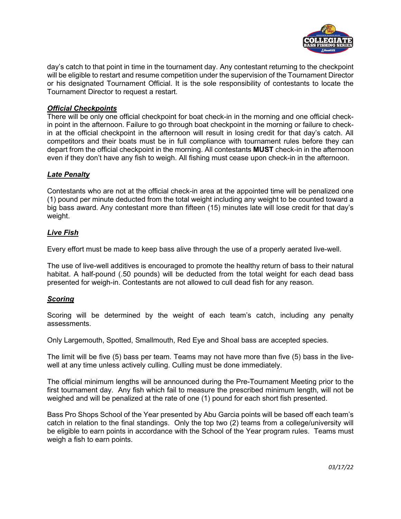

day's catch to that point in time in the tournament day. Any contestant returning to the checkpoint will be eligible to restart and resume competition under the supervision of the Tournament Director or his designated Tournament Official. It is the sole responsibility of contestants to locate the Tournament Director to request a restart.

# *Official Checkpoints*

There will be only one official checkpoint for boat check-in in the morning and one official checkin point in the afternoon. Failure to go through boat checkpoint in the morning or failure to checkin at the official checkpoint in the afternoon will result in losing credit for that day's catch. All competitors and their boats must be in full compliance with tournament rules before they can depart from the official checkpoint in the morning. All contestants **MUST** check-in in the afternoon even if they don't have any fish to weigh. All fishing must cease upon check-in in the afternoon.

# *Late Penalty*

Contestants who are not at the official check-in area at the appointed time will be penalized one (1) pound per minute deducted from the total weight including any weight to be counted toward a big bass award. Any contestant more than fifteen (15) minutes late will lose credit for that day's weight.

# *Live Fish*

Every effort must be made to keep bass alive through the use of a properly aerated live-well.

The use of live-well additives is encouraged to promote the healthy return of bass to their natural habitat. A half-pound (.50 pounds) will be deducted from the total weight for each dead bass presented for weigh-in. Contestants are not allowed to cull dead fish for any reason.

#### *Scoring*

Scoring will be determined by the weight of each team's catch, including any penalty assessments.

Only Largemouth, Spotted, Smallmouth, Red Eye and Shoal bass are accepted species.

The limit will be five (5) bass per team. Teams may not have more than five (5) bass in the livewell at any time unless actively culling. Culling must be done immediately.

The official minimum lengths will be announced during the Pre-Tournament Meeting prior to the first tournament day. Any fish which fail to measure the prescribed minimum length, will not be weighed and will be penalized at the rate of one (1) pound for each short fish presented.

Bass Pro Shops School of the Year presented by Abu Garcia points will be based off each team's catch in relation to the final standings. Only the top two (2) teams from a college/university will be eligible to earn points in accordance with the School of the Year program rules. Teams must weigh a fish to earn points.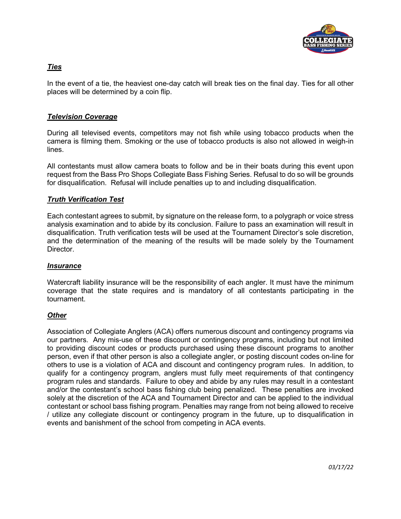

# *Ties*

In the event of a tie, the heaviest one-day catch will break ties on the final day. Ties for all other places will be determined by a coin flip.

# *Television Coverage*

During all televised events, competitors may not fish while using tobacco products when the camera is filming them. Smoking or the use of tobacco products is also not allowed in weigh-in lines.

All contestants must allow camera boats to follow and be in their boats during this event upon request from the Bass Pro Shops Collegiate Bass Fishing Series. Refusal to do so will be grounds for disqualification. Refusal will include penalties up to and including disqualification.

# *Truth Verification Test*

Each contestant agrees to submit, by signature on the release form, to a polygraph or voice stress analysis examination and to abide by its conclusion. Failure to pass an examination will result in disqualification. Truth verification tests will be used at the Tournament Director's sole discretion, and the determination of the meaning of the results will be made solely by the Tournament Director.

#### *Insurance*

Watercraft liability insurance will be the responsibility of each angler. It must have the minimum coverage that the state requires and is mandatory of all contestants participating in the tournament.

#### *Other*

Association of Collegiate Anglers (ACA) offers numerous discount and contingency programs via our partners. Any mis-use of these discount or contingency programs, including but not limited to providing discount codes or products purchased using these discount programs to another person, even if that other person is also a collegiate angler, or posting discount codes on-line for others to use is a violation of ACA and discount and contingency program rules. In addition, to qualify for a contingency program, anglers must fully meet requirements of that contingency program rules and standards. Failure to obey and abide by any rules may result in a contestant and/or the contestant's school bass fishing club being penalized. These penalties are invoked solely at the discretion of the ACA and Tournament Director and can be applied to the individual contestant or school bass fishing program. Penalties may range from not being allowed to receive / utilize any collegiate discount or contingency program in the future, up to disqualification in events and banishment of the school from competing in ACA events.